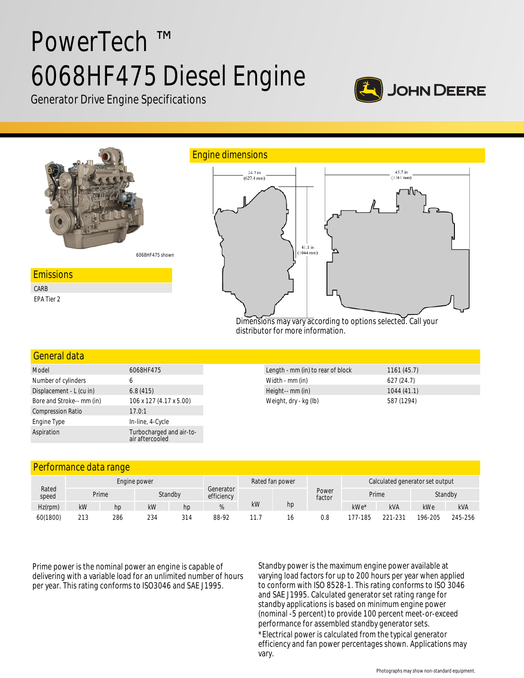# PowerTech ™ 6068HF475 Diesel Engine



Generator Drive Engine Specifications



# General data

| Model                     | 6068HF475                                   |  |  |  |  |
|---------------------------|---------------------------------------------|--|--|--|--|
| Number of cylinders       | 6                                           |  |  |  |  |
| Displacement - L (cu in)  | 6.8(415)                                    |  |  |  |  |
| Bore and Stroke-- mm (in) | 106 x 127 (4.17 x 5.00)                     |  |  |  |  |
| <b>Compression Ratio</b>  | 17.0:1                                      |  |  |  |  |
| Engine Type               | In-line, 4-Cycle                            |  |  |  |  |
| Aspiration                | Turbocharged and air-to-<br>air aftercooled |  |  |  |  |

| Length - mm (in) to rear of block | 1161(45.7) |  |
|-----------------------------------|------------|--|
| Width - mm (in)                   | 627(24.7)  |  |
| Height-- mm (in)                  | 1044(41.1) |  |
| Weight, dry - kg (lb)             | 587 (1294) |  |

# Performance data range

|                | Engine power |     |     |         |                         |    | Rated fan power |                 | Calculated generator set output |            |         |            |
|----------------|--------------|-----|-----|---------|-------------------------|----|-----------------|-----------------|---------------------------------|------------|---------|------------|
| Rated<br>speed | Prime        |     |     | Standby | Generator<br>efficiency |    |                 | Power<br>factor | Prime                           |            | Standby |            |
| $Hz$ (rpm)     | kW           | hp  | kW  | hp      |                         | kW | hp              |                 | kWe*                            | <b>kVA</b> | kWe     | <b>kVA</b> |
| 60(1800)       | 213          | 286 | 234 | 314     | 88-92                   |    |                 | 0.8             | 177-185                         | 221-231    | 196-205 | 245-256    |

Prime power is the nominal power an engine is capable of delivering with a variable load for an unlimited number of hours per year. This rating conforms to ISO3046 and SAE J1995.

Standby power is the maximum engine power available at varying load factors for up to 200 hours per year when applied to conform with ISO 8528-1. This rating conforms to ISO 3046 and SAE J1995. Calculated generator set rating range for standby applications is based on minimum engine power (nominal -5 percent) to provide 100 percent meet-or-exceed performance for assembled standby generator sets. \*Electrical power is calculated from the typical generator efficiency and fan power percentages shown. Applications may vary.